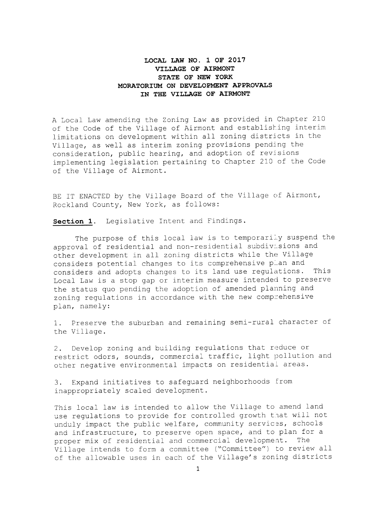## LOCAL LAW NO. 1 OF 2017 VILLAGE OF AIRMONT STATE OF NEW YORK MORATORIUM ON DEVELOPMENT APPROVALS IN THE VILLAGE OF AIRMONT

<sup>A</sup> Local Law amending the Zoning Law as provided in Chapter 210 of the Code of the Village of Airmont and establishing interim limitations on development within all zoning districts in the Village, as well as interim zoning provisions pending the consideration, public hearing, and adoption of revisions implementing legislation pertaining to Chapter <sup>210</sup> of the Code of the Village of Airmont.

BE IT ENACTED by the Village Board of the Village of Airmont, Rockland County, New York, as follows:

Section 1. Legislative Intent and Findings.

The purpose of this local law is to temporarily suspend the approval of residential and non-residential subdivisions and other development in all zoning districts while the Village considers potential changes to its comprehensive plan and considers and adopts changes to its land use regulations. This Local Law is <sup>a</sup> stop gap or interim measure intended to preserve the status quo pending the adoption of amended planning and zoning regulations in accordance with the new comprehensive plan, namely:

1. Preserve the suburban and remaining semi-rural character of the Village.

2. Develop zoning and building regulations that reduce or restrict odors, sounds, commercial traffic, light pollution and other negative environmental impacts on residential areas.

3. Expand initiatives to safeguard neighborhoods from inappropriately scaled development.

This local law is intended to allow the Village to amend land use regulations to provide for controlled growth that will not unduly impact the public welfare, community services, schools and infrastructure, to preserve open space, and to plan for <sup>a</sup> proper mix of residential and commercial development. The Village intends to form <sup>a</sup> committee (" Committee") to review all of the allowable uses in each of the Village's zoning districts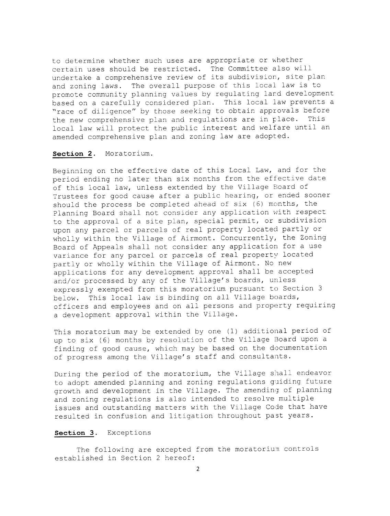to determine whether such uses are appropriate or whether certain uses should be restricted. The Committee also will undertake <sup>a</sup> comprehensive review of its subdivision, site plan and zoning laws. The overall purpose of this local law is to promote community planning values by regulating lard development based on <sup>a</sup> carefully considered plan. This local law prevents <sup>a</sup> "race of diligence" by those seeking to obtain approvals before<br>the new comprehensive plan and requiations are in place. This the new comprehensive plan and regulations are in place. local law will protect the public interest and welfare until an amended comprehensive plan and zoning law are adopted.

### Section 2. Moratorium.

Beginning on the effective date of this Local Law, and for the period ending no later than six months from the effective date of this local law, unless extended by the Village Board of Trustees for good cause after <sup>a</sup> public hearing, or ended sooner should the process be completed ahead of six (6) months, the Planning Board shall not consider any application with respect to the approval of <sup>a</sup> site plan, special permit, or subdivision upon any parcel or parcels of real property located partly or wholly within the Village of Airmont. Concurrently, the Zoning Board of Appeals shall not consider any application for <sup>a</sup> use variance for any parcel or parcels of real property located partly or wholly within the Village of Airmont. No new applications for any development approval shall be accepted and/ or processed by any of the Village's boards, unless expressly exempted from this moratorium pursuant to Section <sup>3</sup> below. This local law is binding on all Village boards, officers and employees and on all persons and property requiring <sup>a</sup> development approval within the Village.

This moratorium may be extended by one (1) additional period of up to six (6) months by resolution of the Village Board upon a finding of good cause, which may be based on the documentation of progress among the Village' <sup>s</sup> staff and consultants.

During the period of the moratorium, the Village shall endeavor to adopt amended planning and zoning regulations quiding future growth and development in the Village. The amending of planning and zoning regulations is also intended to resolve multiple issues and outstanding matters with the Village Code that have resulted in confusion and litigation throughout past years.

#### Section 3. Exceptions

The following are excepted from the moratorium controls established in Section <sup>2</sup> hereof: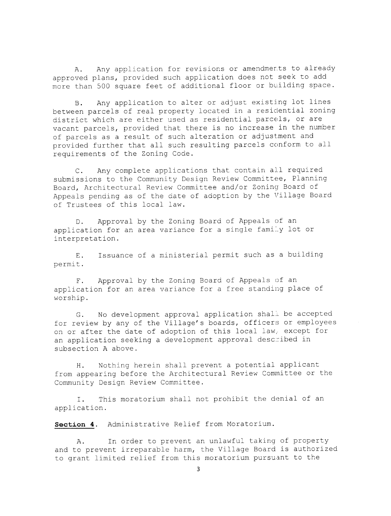A. Any application for revisions or amendments to already approved plans, provided such application does not seek to add more than <sup>500</sup> square feet of additional floor or building space.

B. Any application to alter or adjust existing lot lines between parcels of real property located in <sup>a</sup> residential zoning district which are either used as residential parcels, or are vacant parcels, provided that there is no increase in the number of parcels as <sup>a</sup> result of such alteration or adjustment and provided further that all such resulting parcels conform to all requirements of the Zoning Code.

C. Any complete applications that contain all required submissions to the Community Design Review Committee, Planning Board, Architectural Review Committee and/or Zoning Board of Appeals pending as of the date of adoption by the Village Board of Trustees of this local law.

D. Approval by the Zoning Board of Appeals of an application for an area variance for a single family lot or interpretation.

E. Issuance of <sup>a</sup> ministerial permit such as <sup>a</sup> building permit.

F. Approval by the Zoning Board of Appeals of an application for an area variance for <sup>a</sup> free standing place of worship.

G. No development approval application shall be accepted for review by any of the Village' <sup>s</sup> boards, officers or employees on or after the date of adoption of this local law, except for an application seeking a development approval described in subsection <sup>A</sup> above.

H. Nothing herein shall prevent <sup>a</sup> potential applicant from appearing before the Architectural Review Committee or the Community Design Review Committee.

I. This moratorium shall not prohibit the denial of an application.

Section 4. Administrative Relief from Moratorium.

A. In order to prevent an unlawful taking of property and to prevent irreparable harm, the Village Board is authorized to grant limited relief from this moratorium pursuant to the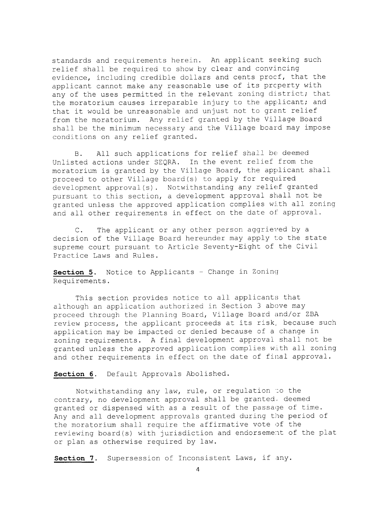standards and requirements herein. An applicant seeking such relief shall be required to show by clear and convincing evidence, including credible dollars and cents procf, that the applicant cannot make any reasonable use of its prcperty with any of the uses permitted in the relevant zoning district; that the moratorium causes irreparable injury to the applicant; and that it would be unreasonable and unjust not to grant relief from the moratorium. Any relief granted by the Village Board shall be the minimum necessary and the Village board may impose conditions on any relief granted.

B. All such applications for relief shall be deemed Unlisted actions under SEQRA. In the event relief from the moratorium is granted by the Village Board, the applicant shall proceed to other Village board(s) to apply for required development approval(s). Notwithstanding any relief granted pursuant to this section, <sup>a</sup> development approval shall not be granted unless the approved application complies with all zoning and all other requirements in effect on the date of approval.

C. The applicant or any other person aggrieved by <sup>a</sup> decision of the Village Board hereunder may apply to the state supreme court pursuant to Article Seventy-Eight of the Civil Practice Laws and Rules.

Section 5. Notice to Applicants - Change in Zoning Requirements.

This section provides notice to all applicants that although an application authorized in Section <sup>3</sup> above may proceed through the Planning Board, Village Board and/or ZBA review process, the applicant proceeds at its risk, because such application may be impacted or denied because of <sup>a</sup> change in zoning requirements. <sup>A</sup> final development approval shall not be granted unless the approved application complies with all zoning and other requirements in effect on the date of final approval.

Section 6. Default Approvals Abolished.

Notwithstanding any law, rule, or regulation to the contrary, no development approval shall be granted, deemed granted or dispensed with as <sup>a</sup> result of the passage of time. Any and all development approvals granted during the period of the moratorium shall require the affirmative vote of the reviewing board(s) with jurisdiction and endorsement of the plat or plan as otherwise required by law.

Section 7. Supersession of Inconsistent Laws, if any.